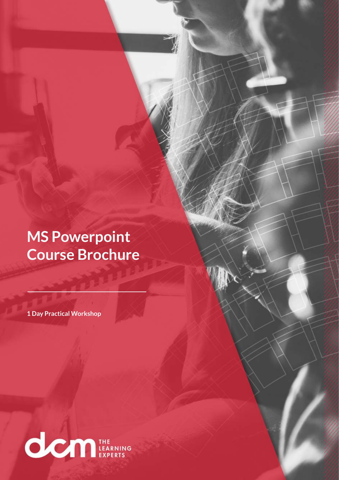**MS Powerpoint Course Brochure**

**1 Day Practical Workshop**

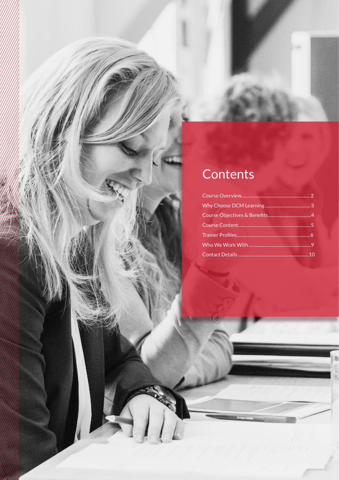# Contents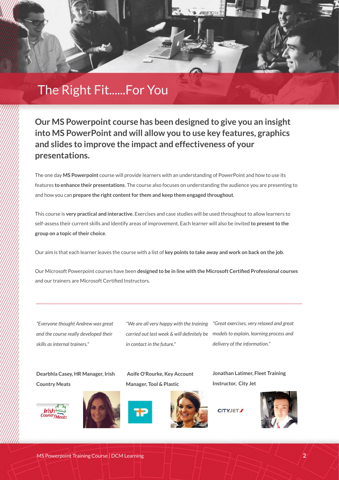

**Our MS Powerpoint course has been designed to give you an insight into MS PowerPoint and will allow you to use key features, graphics and slides to improve the impact and effectiveness of your presentations.**

The one day **MS Powerpoint** course will provide learners with an understanding of PowerPoint and how to use its features **to enhance their presentations**. The course also focuses on understanding the audience you are presenting to and how you can **prepare the right content for them and keep them engaged throughout**.

This course is **very practical and interactive**. Exercises and case studies will be used throughout to allow learners to self-assess their current skills and identify areas of improvement. Each learner will also be invited **to present to the group on a topic of their choice**.

Our aim is that each learner leaves the course with a list of **key points to take away and work on back on the job**.

Our Microsoft Powerpoint courses have been **designed to be in line with the Microsoft Certified Professional courses** and our trainers are Microsoft Certified Instructors.

*"Everyone thought Andrew was great and the course really developed their skills as internal trainers."*

**Dearbhla Casey, HR Manager, Irish Country Meats**





**Aoife O'Rourke, Key Account Manager, Tool & Plastic**

*in contact in the future."*



*"We are all very happy with the training "Great exercises, very relaxed and great carried out last week & will definitely be models to explain, learning process and delivery of the information."*

> **Jonathan Latimer, Fleet Training Instructor, City Jet**

**CITYJET** 

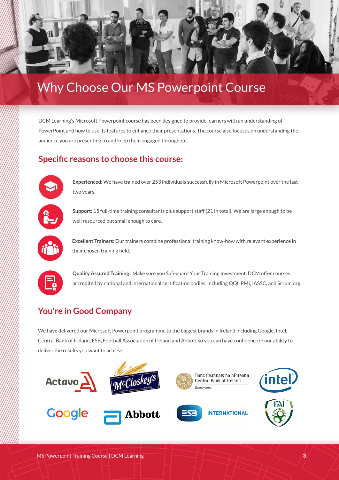

# Why Choose Our MS Powerpoint Course

DCM Learning's Microsoft Powerpoint course has been designed to provide learners with an understanding of PowerPoint and how to use its features to enhance their presentations. The course also focuses on understanding the audience you are presenting to and keep them engaged throughout.

#### **Specific reasons to choose this course:**



**Experienced:** We have trained over 253 individuals successfully in Microsoft Powerpoint over the last two years.



**Support:** 15 full-time training consultants plus support staff (21 in total). We are large enough to be well resourced but small enough to care.



**Excellent Trainers:** Our trainers combine professional training know-how with relevant experience in their chosen training field.



**Quality Assured Training:** Make sure you Safeguard Your Training Investment. DCM offer courses accredited by national and international certification bodies, including QQI, PMI, IASSC, and Scrum.org.

### **You're in Good Company**

We have delivered our Microsoft Powerpoint programme to the biggest brands in Ireland including Google, Intel, Central Bank of Ireland, ESB, Football Association of Ireland and Abbott so you can have confidence in our ability to deliver the results you want to achieve.

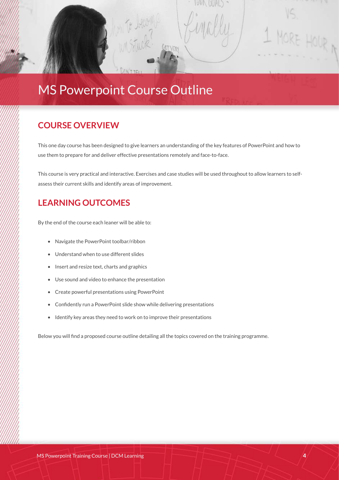## MS Powerpoint Course Outline

#### **COURSE OVERVIEW**

**Click to add content...** 

This one day course has been designed to give learners an understanding of the key features of PowerPoint and how to use them to prepare for and deliver effective presentations remotely and face-to-face.

RE HOUR

This course is very practical and interactive. Exercises and case studies will be used throughout to allow learners to selfassess their current skills and identify areas of improvement.

#### **LEARNING OUTCOMES**

By the end of the course each leaner will be able to:

- Navigate the PowerPoint toolbar/ribbon
- Understand when to use different slides
- Insert and resize text, charts and graphics
- Use sound and video to enhance the presentation
- Create powerful presentations using PowerPoint
- Confidently run a PowerPoint slide show while delivering presentations
- Identify key areas they need to work on to improve their presentations

Below you will find a proposed course outline detailing all the topics covered on the training programme.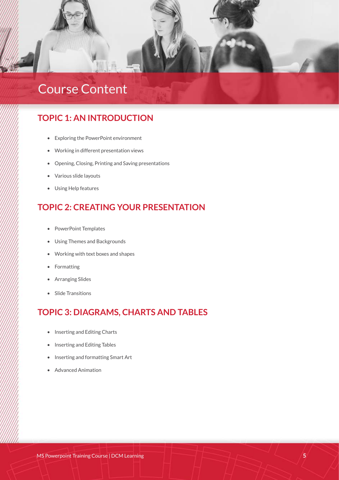

# Course Content

#### **TOPIC 1: AN INTRODUCTION**

- Exploring the PowerPoint environment
- Working in different presentation views
- Opening, Closing, Printing and Saving presentations
- Various slide layouts
- Using Help features

#### **TOPIC 2: CREATING YOUR PRESENTATION**

- PowerPoint Templates
- Using Themes and Backgrounds
- Working with text boxes and shapes
- **Formatting**
- Arranging Slides
- Slide Transitions

#### **TOPIC 3: DIAGRAMS, CHARTS AND TABLES**

- Inserting and Editing Charts
- Inserting and Editing Tables
- Inserting and formatting Smart Art
- Advanced Animation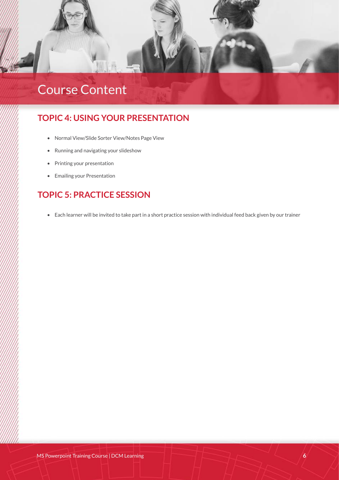

# Course Content

#### **TOPIC 4: USING YOUR PRESENTATION**

- Normal View/Slide Sorter View/Notes Page View
- Running and navigating your slideshow
- Printing your presentation
- Emailing your Presentation

### **TOPIC 5: PRACTICE SESSION**

• Each learner will be invited to take part in a short practice session with individual feed back given by our trainer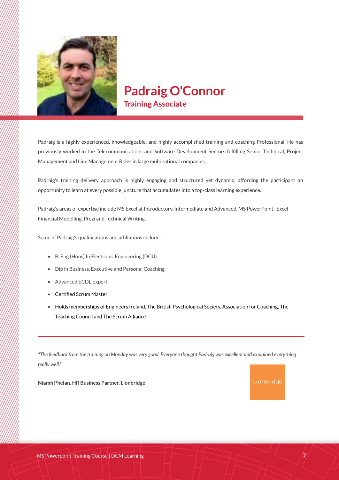

### **Padraig O'Connor Training Associate**

Padraig is a highly experienced, knowledgeable, and highly accomplished training and coaching Professional. He has previously worked in the Telecommunications and Software Development Sectors fulfilling Senior Technical, Project Management and Line Management Roles in large multinational companies.

Padraig's training delivery approach is highly engaging and structured yet dynamic; affording the participant an opportunity to learn at every possible juncture that accumulates into a top-class learning experience.

Padraig's areas of expertise include MS Excel at Introductory, Intermediate and Advanced, MS PowerPoint, Excel Financial Modelling, Prezi and Technical Writing.

Some of Padraig's qualifications and affiliations include:

- B. Eng (Hons) In Electronic Engineering (DCU)
- Dip in Business, Executive and Personal Coaching
- Advanced ECDL Expert
- Certified Scrum Master
- Holds memberships of Engineers Ireland, The British Psychological Society, Association for Coaching, The Teaching Council and The Scrum Alliance

*"The feedback from the training on Monday was very good. Everyone thought Padraig was excellent and explained everything really well."*

**Niamh Phelan, HR Business Partner, Lionbridge**

#### Lionbridge

**7**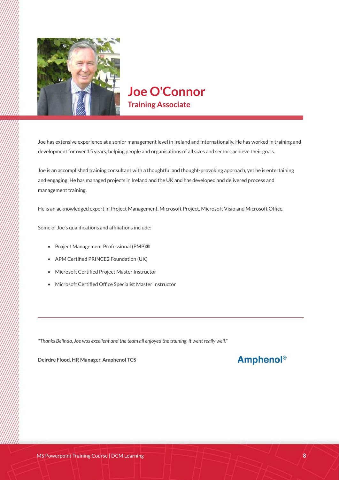

### **Joe O'Connor Training Associate**

Joe has extensive experience at a senior management level in Ireland and internationally. He has worked in training and development for over 15 years, helping people and organisations of all sizes and sectors achieve their goals.

Joe is an accomplished training consultant with a thoughtful and thought-provoking approach, yet he is entertaining and engaging. He has managed projects in Ireland and the UK and has developed and delivered process and management training.

He is an acknowledged expert in Project Management, Microsoft Project, Microsoft Visio and Microsoft Office.

Some of Joe's qualifications and affiliations include:

- Project Management Professional (PMP)®
- APM Certified PRINCE2 Foundation (UK)
- Microsoft Certified Project Master Instructor
- Microsoft Certified Office Specialist Master Instructor

*"Thanks Belinda, Joe was excellent and the team all enjoyed the training, it went really well."*

**Deirdre Flood, HR Manager, Amphenol TCS**

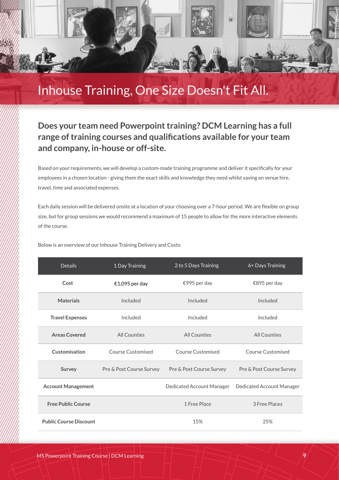

## Inhouse Training, One Size Doesn't Fit All.

#### **Does your team need Powerpoint training? DCM Learning has a full range of training courses and qualifications available for your team and company, in-house or off-site.**

Based on your requirements, we will develop a custom-made training programme and deliver it specifically for your employees in a chosen location - giving them the exact skills and knowledge they need whilst saving on venue hire, travel, time and associated expenses.

Each daily session will be delivered onsite at a location of your choosing over a 7-hour period. We are flexible on group size, but for group sessions we would recommend a maximum of 15 people to allow for the more interactive elements of the course.

Below is an overview of our Inhouse Training Delivery and Costs:

| <b>Details</b>                | 1 Day Training           | 2 to 5 Days Training      | 6+ Days Training          |
|-------------------------------|--------------------------|---------------------------|---------------------------|
| Cost                          | €1,095 per day           | €995 per day              | €895 per day              |
| <b>Materials</b>              | Included                 | Included                  | Included                  |
| <b>Travel Expenses</b>        | Included                 | Included                  | Included                  |
| <b>Areas Covered</b>          | All Counties             | All Counties              | All Counties              |
| Customisation                 | <b>Course Customised</b> | Course Customised         | Course Customised         |
| Survey                        | Pre & Post Course Survey | Pre & Post Course Survey  | Pre & Post Course Survey  |
| <b>Account Management</b>     |                          | Dedicated Account Manager | Dedicated Account Manager |
| <b>Free Public Course</b>     |                          | 1 Free Place              | 3 Free Places             |
| <b>Public Course Discount</b> |                          | 15%                       | 25%                       |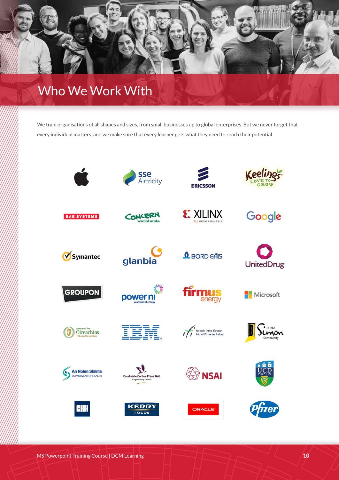# Who We Work With

We train organisations of all shapes and sizes, from small businesses up to global enterprises. But we never forget that every individual matters, and we make sure that every learner gets what they need to reach their potential.